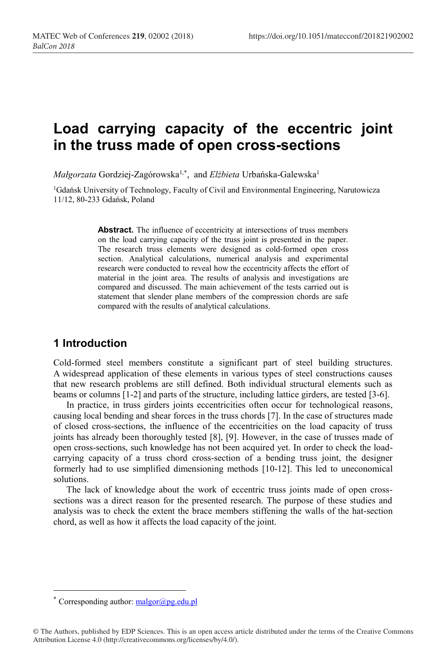# **Load carrying capacity of the eccentric joint in the truss made of open cross-sections**

*Małgorzata* Gordziej-Zagórowska1,\* , and *Elżbieta* Urbańska-Galewska1

<sup>1</sup>Gdańsk University of Technology, Faculty of Civil and Environmental Engineering, Narutowicza 11/12, 80-233 Gdańsk, Poland

> Abstract. The influence of eccentricity at intersections of truss members on the load carrying capacity of the truss joint is presented in the paper. The research truss elements were designed as cold-formed open cross section. Analytical calculations, numerical analysis and experimental research were conducted to reveal how the eccentricity affects the effort of material in the joint area. The results of analysis and investigations are compared and discussed. The main achievement of the tests carried out is statement that slender plane members of the compression chords are safe compared with the results of analytical calculations.

## **1 Introduction**

Cold-formed steel members constitute a significant part of steel building structures. A widespread application of these elements in various types of steel constructions causes that new research problems are still defined. Both individual structural elements such as beams or columns [1-2] and parts of the structure, including lattice girders, are tested [3-6].

In practice, in truss girders joints eccentricities often occur for technological reasons, causing local bending and shear forces in the truss chords [7]. In the case of structures made of closed cross-sections, the influence of the eccentricities on the load capacity of truss joints has already been thoroughly tested [8], [9]. However, in the case of trusses made of open cross-sections, such knowledge has not been acquired yet. In order to check the loadcarrying capacity of a truss chord cross-section of a bending truss joint, the designer formerly had to use simplified dimensioning methods [10-12]. This led to uneconomical solutions.

The lack of knowledge about the work of eccentric truss joints made of open crosssections was a direct reason for the presented research. The purpose of these studies and analysis was to check the extent the brace members stiffening the walls of the hat-section chord, as well as how it affects the load capacity of the joint.

<sup>\*</sup> Corresponding author:  $malgor(\partial_p p$ g.edu.pl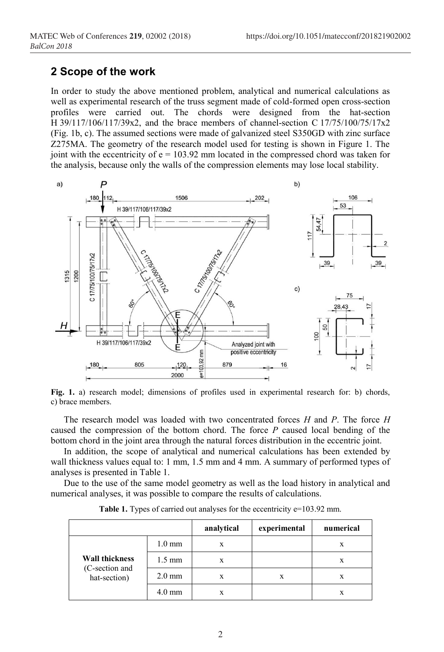## **2 Scope of the work**

In order to study the above mentioned problem, analytical and numerical calculations as well as experimental research of the truss segment made of cold-formed open cross-section profiles were carried out. The chords were designed from the hat-section H 39/117/106/117/39x2, and the brace members of channel-section C 17/75/100/75/17x2 (Fig. 1b, c). The assumed sections were made of galvanized steel S350GD with zinc surface Z275MA. The geometry of the research model used for testing is shown in Figure 1. The joint with the eccentricity of  $e = 103.92$  mm located in the compressed chord was taken for the analysis, because only the walls of the compression elements may lose local stability.



**Fig. 1.** a) research model; dimensions of profiles used in experimental research for: b) chords, c) brace members.

The research model was loaded with two concentrated forces *H* and *P*. The force *H*  caused the compression of the bottom chord. The force *P* caused local bending of the bottom chord in the joint area through the natural forces distribution in the eccentric joint.

In addition, the scope of analytical and numerical calculations has been extended by wall thickness values equal to: 1 mm, 1.5 mm and 4 mm. A summary of performed types of analyses is presented in Table 1.

Due to the use of the same model geometry as well as the load history in analytical and numerical analyses, it was possible to compare the results of calculations.

|                                                         |                  | analytical | experimental | numerical |
|---------------------------------------------------------|------------------|------------|--------------|-----------|
| <b>Wall thickness</b><br>(C-section and<br>hat-section) | $1.0 \text{ mm}$ | X          |              | X         |
|                                                         | $1.5 \text{ mm}$ | X          |              | X         |
|                                                         | $2.0 \text{ mm}$ | X          | X            | X         |
|                                                         | $4.0 \text{ mm}$ |            |              | x         |

Table 1. Types of carried out analyses for the eccentricity e=103.92 mm.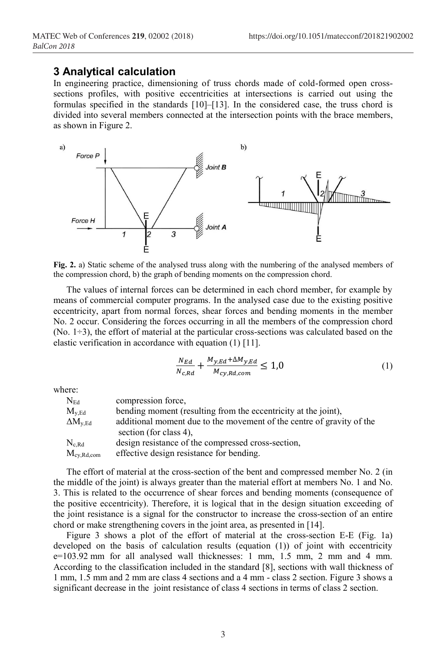#### **3 Analytical calculation**

In engineering practice, dimensioning of truss chords made of cold-formed open crosssections profiles, with positive eccentricities at intersections is carried out using the formulas specified in the standards [10]–[13]. In the considered case, the truss chord is divided into several members connected at the intersection points with the brace members, as shown in Figure 2.



**Fig. 2.** a) Static scheme of the analysed truss along with the numbering of the analysed members of the compression chord, b) the graph of bending moments on the compression chord.

The values of internal forces can be determined in each chord member, for example by means of commercial computer programs. In the analysed case due to the existing positive eccentricity, apart from normal forces, shear forces and bending moments in the member No. 2 occur. Considering the forces occurring in all the members of the compression chord  $(No. 1\div 3)$ , the effort of material at the particular cross-sections was calculated based on the elastic verification in accordance with equation (1) [11].

$$
\frac{N_{Ed}}{N_{c,Rd}} + \frac{M_{y,Ed} + \Delta M_{y,Ed}}{M_{cy,Rd,com}} \le 1,0
$$
\n<sup>(1)</sup>

where:

| ${\rm N}_{\rm Ed}$    | compression force,                                                                              |
|-----------------------|-------------------------------------------------------------------------------------------------|
| $\rm M_{v\,Ed}$       | bending moment (resulting from the eccentricity at the joint),                                  |
| $\Delta M_{\rm v,Ed}$ | additional moment due to the movement of the centre of gravity of the<br>section (for class 4). |
| $\rm N_{c\,Rd}$       | design resistance of the compressed cross-section,                                              |
| $M_{\rm{cy,Rd,com}}$  | effective design resistance for bending.                                                        |

The effort of material at the cross-section of the bent and compressed member No. 2 (in the middle of the joint) is always greater than the material effort at members No. 1 and No. 3. This is related to the occurrence of shear forces and bending moments (consequence of the positive eccentricity). Therefore, it is logical that in the design situation exceeding of the joint resistance is a signal for the constructor to increase the cross-section of an entire chord or make strengthening covers in the joint area, as presented in [14].

Figure 3 shows a plot of the effort of material at the cross-section E-E (Fig. 1a) developed on the basis of calculation results (equation (1)) of joint with eccentricity e=103.92 mm for all analysed wall thicknesses: 1 mm, 1.5 mm, 2 mm and 4 mm. According to the classification included in the standard [8], sections with wall thickness of 1 mm, 1.5 mm and 2 mm are class 4 sections and a 4 mm - class 2 section. Figure 3 shows a significant decrease in the joint resistance of class 4 sections in terms of class 2 section.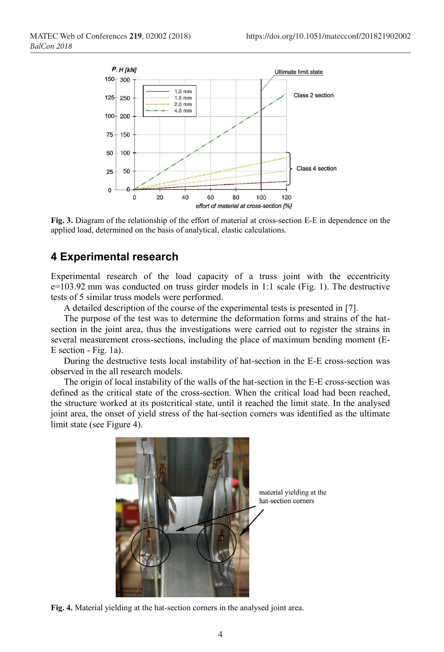

**Fig. 3.** Diagram of the relationship of the effort of material at cross-section E-E in dependence on the applied load, determined on the basis of analytical, elastic calculations.

## **4 Experimental research**

Experimental research of the load capacity of a truss joint with the eccentricity e=103.92 mm was conducted on truss girder models in 1:1 scale (Fig. 1). The destructive tests of 5 similar truss models were performed.

A detailed description of the course of the experimental tests is presented in [7].

The purpose of the test was to determine the deformation forms and strains of the hatsection in the joint area, thus the investigations were carried out to register the strains in several measurement cross-sections, including the place of maximum bending moment (E-E section - Fig. 1a).

During the destructive tests local instability of hat-section in the E-E cross-section was observed in the all research models.

The origin of local instability of the walls of the hat-section in the E-E cross-section was defined as the critical state of the cross-section. When the critical load had been reached, the structure worked at its postcritical state, until it reached the limit state. In the analysed joint area, the onset of yield stress of the hat-section corners was identified as the ultimate limit state (see Figure 4).



material yielding at the hat-section corners

**Fig. 4.** Material yielding at the hat-section corners in the analysed joint area.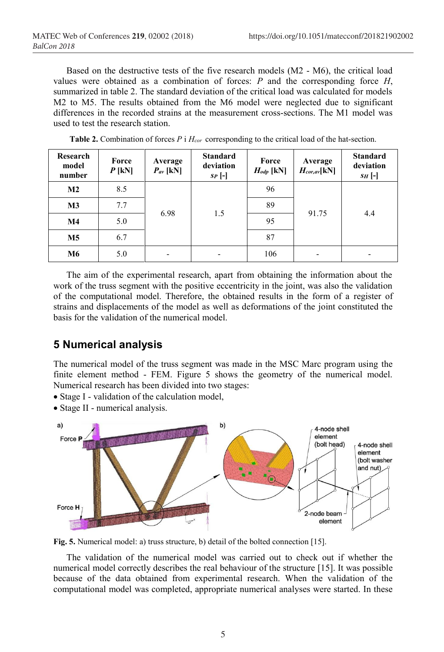Based on the destructive tests of the five research models (M2 - M6), the critical load values were obtained as a combination of forces: *P* and the corresponding force *H*, summarized in table 2. The standard deviation of the critical load was calculated for models M2 to M5. The results obtained from the M6 model were neglected due to significant differences in the recorded strains at the measurement cross-sections. The M1 model was used to test the research station.

| Research<br>model<br>number | Force<br>$P$ [kN] | Average<br>$P_{av}$ [kN] | <b>Standard</b><br>deviation<br>$SP[-]$ | Force<br>$H_{\text{odp}}$ [kN] | Average<br>$H_{cor,av}$ [kN] | <b>Standard</b><br>deviation<br>$SH$ [-] |
|-----------------------------|-------------------|--------------------------|-----------------------------------------|--------------------------------|------------------------------|------------------------------------------|
| $\mathbf{M2}$               | 8.5               | 6.98                     | 1.5                                     | 96                             | 91.75                        | 4.4                                      |
| M <sub>3</sub>              | 7.7               |                          |                                         | 89                             |                              |                                          |
| $\mathbf{M}4$               | 5.0               |                          |                                         | 95                             |                              |                                          |
| M5                          | 6.7               |                          |                                         | 87                             |                              |                                          |
| M6                          | 5.0               |                          | -                                       | 106                            |                              |                                          |

**Table 2.** Combination of forces *P* i *Hcor* corresponding to the critical load of the hat-section.

The aim of the experimental research, apart from obtaining the information about the work of the truss segment with the positive eccentricity in the joint, was also the validation of the computational model. Therefore, the obtained results in the form of a register of strains and displacements of the model as well as deformations of the joint constituted the basis for the validation of the numerical model.

#### **5 Numerical analysis**

The numerical model of the truss segment was made in the MSC Marc program using the finite element method - FEM. Figure 5 shows the geometry of the numerical model. Numerical research has been divided into two stages:

- Stage I validation of the calculation model,
- Stage II numerical analysis.



**Fig. 5.** Numerical model: a) truss structure, b) detail of the bolted connection [15].

The validation of the numerical model was carried out to check out if whether the numerical model correctly describes the real behaviour of the structure [15]. It was possible because of the data obtained from experimental research. When the validation of the computational model was completed, appropriate numerical analyses were started. In these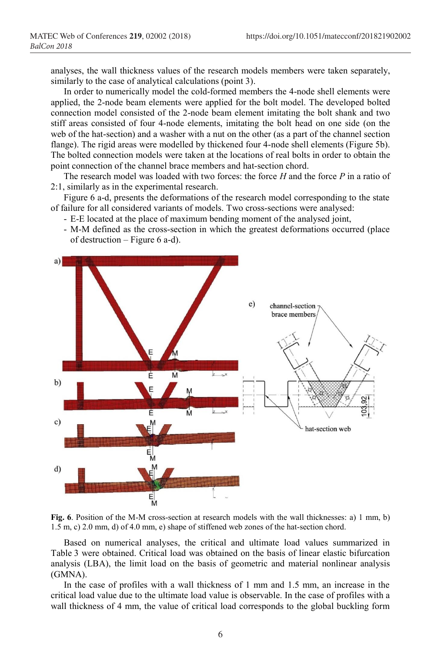analyses, the wall thickness values of the research models members were taken separately, similarly to the case of analytical calculations (point 3).

In order to numerically model the cold-formed members the 4-node shell elements were applied, the 2-node beam elements were applied for the bolt model. The developed bolted connection model consisted of the 2-node beam element imitating the bolt shank and two stiff areas consisted of four 4-node elements, imitating the bolt head on one side (on the web of the hat-section) and a washer with a nut on the other (as a part of the channel section flange). The rigid areas were modelled by thickened four 4-node shell elements (Figure 5b). The bolted connection models were taken at the locations of real bolts in order to obtain the point connection of the channel brace members and hat-section chord.

The research model was loaded with two forces: the force *H* and the force *P* in a ratio of 2:1, similarly as in the experimental research.

Figure 6 a-d, presents the deformations of the research model corresponding to the state of failure for all considered variants of models. Two cross-sections were analysed:

- E-E located at the place of maximum bending moment of the analysed joint,
- M-M defined as the cross-section in which the greatest deformations occurred (place of destruction – Figure 6 a-d).



**Fig. 6**. Position of the M-M cross-section at research models with the wall thicknesses: a) 1 mm, b) 1.5 m, c) 2.0 mm, d) of 4.0 mm, e) shape of stiffened web zones of the hat-section chord.

Based on numerical analyses, the critical and ultimate load values summarized in Table 3 were obtained. Critical load was obtained on the basis of linear elastic bifurcation analysis (LBA), the limit load on the basis of geometric and material nonlinear analysis (GMNA).

In the case of profiles with a wall thickness of 1 mm and 1.5 mm, an increase in the critical load value due to the ultimate load value is observable. In the case of profiles with a wall thickness of 4 mm, the value of critical load corresponds to the global buckling form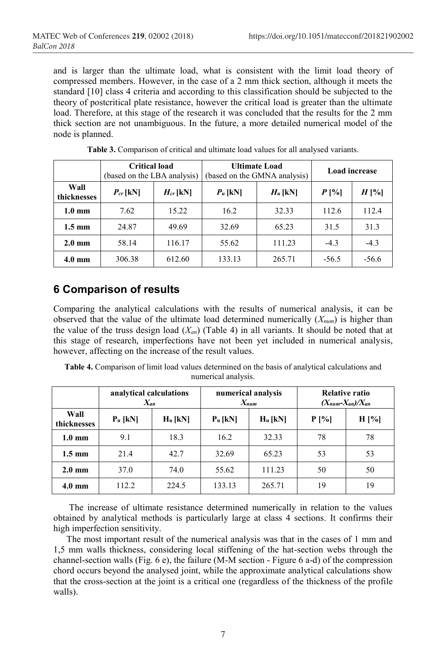and is larger than the ultimate load, what is consistent with the limit load theory of compressed members. However, in the case of a 2 mm thick section, although it meets the standard [10] class 4 criteria and according to this classification should be subjected to the theory of postcritical plate resistance, however the critical load is greater than the ultimate load. Therefore, at this stage of the research it was concluded that the results for the 2 mm thick section are not unambiguous. In the future, a more detailed numerical model of the node is planned.

|                     | <b>Critical load</b><br>(based on the LBA analysis) |               | (based on the GMNA analysis) | <b>Ultimate Load</b> | <b>Load</b> increase |         |
|---------------------|-----------------------------------------------------|---------------|------------------------------|----------------------|----------------------|---------|
| Wall<br>thicknesses | $P_{cr}$ [kN]                                       | $H_{cr}$ [kN] | $P_u$ [kN]                   | $H_u$ [kN]           | $P[\%]$              | $H[\%]$ |
| $1.0 \text{ mm}$    | 7.62                                                | 15.22         | 16.2                         | 32.33                | 112.6                | 112.4   |
| $1.5 \text{ mm}$    | 24.87                                               | 49.69         | 32.69                        | 65.23                | 31.5                 | 31.3    |
| $2.0 \text{ mm}$    | 58.14                                               | 116.17        | 55.62                        | 111.23               | $-4.3$               | $-4.3$  |
| $4.0 \text{ mm}$    | 306.38                                              | 612.60        | 133.13                       | 265.71               | $-56.5$              | $-56.6$ |

|  |  | <b>Table 3.</b> Comparison of critical and ultimate load values for all analysed variants. |  |
|--|--|--------------------------------------------------------------------------------------------|--|
|  |  |                                                                                            |  |

# **6 Comparison of results**

Comparing the analytical calculations with the results of numerical analysis, it can be observed that the value of the ultimate load determined numerically (*Xnum*) is higher than the value of the truss design load  $(X_{an})$  (Table 4) in all variants. It should be noted that at this stage of research, imperfections have not been yet included in numerical analysis, however, affecting on the increase of the result values.

**Table 4.** Comparison of limit load values determined on the basis of analytical calculations and numerical analysis.

|                     | analytical calculations<br>$X_{an}$ |            | numerical analysis<br>$X_{num}$ |            | <b>Relative ratio</b><br>$(X_{num}-X_{an})/X_{an}$ |         |
|---------------------|-------------------------------------|------------|---------------------------------|------------|----------------------------------------------------|---------|
| Wall<br>thicknesses | $P_u$ [kN]                          | $H_u$ [kN] | $P_u$ [kN]                      | $H_u$ [kN] | $P[\%]$                                            | $H[\%]$ |
| $1.0 \text{ mm}$    | 9.1                                 | 18.3       | 16.2                            | 32.33      | 78                                                 | 78      |
| $1.5 \text{ mm}$    | 21.4                                | 42.7       | 32.69                           | 65.23      | 53                                                 | 53      |
| $2.0 \text{ mm}$    | 37.0                                | 74.0       | 55.62                           | 111.23     | 50                                                 | 50      |
| $4.0 \text{ mm}$    | 112.2                               | 224.5      | 133.13                          | 265.71     | 19                                                 | 19      |

The increase of ultimate resistance determined numerically in relation to the values obtained by analytical methods is particularly large at class 4 sections. It confirms their high imperfection sensitivity.

The most important result of the numerical analysis was that in the cases of 1 mm and 1,5 mm walls thickness, considering local stiffening of the hat-section webs through the channel-section walls (Fig. 6 e), the failure (M-M section - Figure 6 a-d) of the compression chord occurs beyond the analysed joint, while the approximate analytical calculations show that the cross-section at the joint is a critical one (regardless of the thickness of the profile walls).